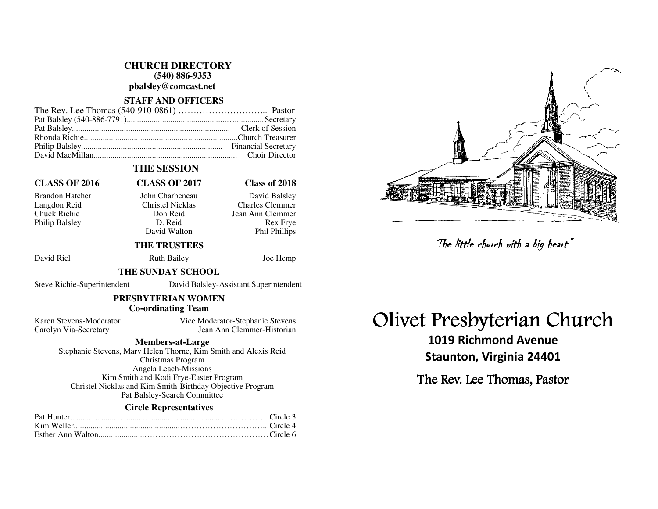**CHURCH DIRECTORY (540) 886-9353** 

**pbalsley@comcast.net** 

#### **STAFF AND OFFICERS**

### **THE SESSION**

## **CLASS OF 2016 CLASS OF 2017 Class of 2018**

Philip Balsley D. Reid

David Walton

#### Brandon Hatcher John Charbeneau David Balsley Langdon Reid Christel Nicklas Charles Clemmer Chuck Richie Don Reid Jean Ann Clemmer **Rex Frve** Phil Phillips

### **THE TRUSTEES**

David Riel **Ruth Bailey** Joe Hemp

#### **THE SUNDAY SCHOOL**

Steve Richie-Superintendent David Balsley-Assistant Superintendent

### **PRESBYTERIAN WOMEN Co-ordinating Team**

Karen Stevens-Moderator Vice Moderator-Stephanie Stevens Carolyn Via-Secretary Jean Ann Clemmer-Historian

#### **Members-at-Large**

 Stephanie Stevens, Mary Helen Thorne, Kim Smith and Alexis Reid Christmas Program Angela Leach-Missions Kim Smith and Kodi Frye-Easter Program Christel Nicklas and Kim Smith-Birthday Objective Program Pat Balsley-Search Committee

#### **Circle Representatives**

# Olivet Presbyterian Church

1019 Richmond Avenue Staunton, Virginia 24401 The little church with a big heart"<br>Presbyterian Chi<br>019 Richmond Avenue<br>aunton, Virginia 24401<br>: Rev. Lee Thomas, Pastor

The Rev. Lee Thomas, Pastor